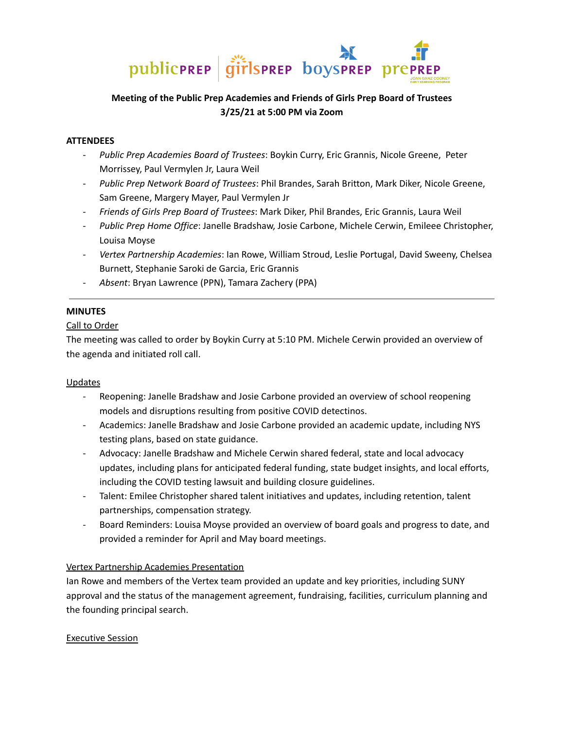

# **Meeting of the Public Prep Academies and Friends of Girls Prep Board of Trustees 3/25/21 at 5:00 PM via Zoom**

#### **ATTENDEES**

- *Public Prep Academies Board of Trustees*: Boykin Curry, Eric Grannis, Nicole Greene, Peter Morrissey, Paul Vermylen Jr, Laura Weil
- *Public Prep Network Board of Trustees*: Phil Brandes, Sarah Britton, Mark Diker, Nicole Greene, Sam Greene, Margery Mayer, Paul Vermylen Jr
- *Friends of Girls Prep Board of Trustees*: Mark Diker, Phil Brandes, Eric Grannis, Laura Weil
- *Public Prep Home Office*: Janelle Bradshaw, Josie Carbone, Michele Cerwin, Emileee Christopher, Louisa Moyse
- *Vertex Partnership Academies*: Ian Rowe, William Stroud, Leslie Portugal, David Sweeny, Chelsea Burnett, Stephanie Saroki de Garcia, Eric Grannis
- *Absent*: Bryan Lawrence (PPN), Tamara Zachery (PPA)

## **MINUTES**

### Call to Order

The meeting was called to order by Boykin Curry at 5:10 PM. Michele Cerwin provided an overview of the agenda and initiated roll call.

#### Updates

- Reopening: Janelle Bradshaw and Josie Carbone provided an overview of school reopening models and disruptions resulting from positive COVID detectinos.
- Academics: Janelle Bradshaw and Josie Carbone provided an academic update, including NYS testing plans, based on state guidance.
- Advocacy: Janelle Bradshaw and Michele Cerwin shared federal, state and local advocacy updates, including plans for anticipated federal funding, state budget insights, and local efforts, including the COVID testing lawsuit and building closure guidelines.
- Talent: Emilee Christopher shared talent initiatives and updates, including retention, talent partnerships, compensation strategy.
- Board Reminders: Louisa Moyse provided an overview of board goals and progress to date, and provided a reminder for April and May board meetings.

## Vertex Partnership Academies Presentation

Ian Rowe and members of the Vertex team provided an update and key priorities, including SUNY approval and the status of the management agreement, fundraising, facilities, curriculum planning and the founding principal search.

#### Executive Session